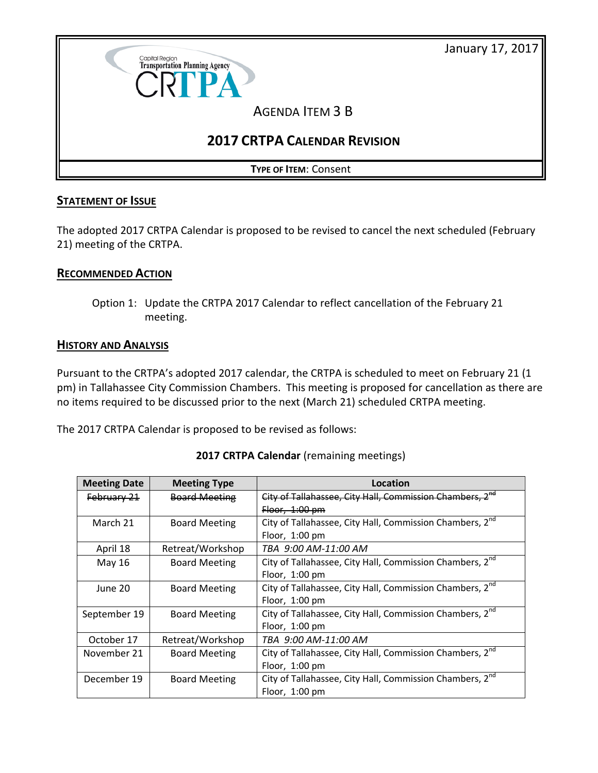January 17, 2017



# **STATEMENT OF ISSUE**

The adopted 2017 CRTPA Calendar is proposed to be revised to cancel the next scheduled (February 21) meeting of the CRTPA.

## **RECOMMENDED ACTION**

Option 1: Update the CRTPA 2017 Calendar to reflect cancellation of the February 21 meeting.

#### **HISTORY AND ANALYSIS**

Pursuant to the CRTPA's adopted 2017 calendar, the CRTPA is scheduled to meet on February 21 (1 pm) in Tallahassee City Commission Chambers. This meeting is proposed for cancellation as there are no items required to be discussed prior to the next (March 21) scheduled CRTPA meeting.

The 2017 CRTPA Calendar is proposed to be revised as follows:

| <b>Meeting Date</b> | <b>Meeting Type</b>  | Location                                                             |
|---------------------|----------------------|----------------------------------------------------------------------|
| February 21         | <b>Board Meeting</b> | City of Tallahassee, City Hall, Commission Chambers, 2 <sup>nd</sup> |
|                     |                      | Floor, $1:00$ pm                                                     |
| March 21            | <b>Board Meeting</b> | City of Tallahassee, City Hall, Commission Chambers, 2nd             |
|                     |                      | Floor, $1:00 \text{ pm}$                                             |
| April 18            | Retreat/Workshop     | TBA 9:00 AM-11:00 AM                                                 |
| May 16              | <b>Board Meeting</b> | City of Tallahassee, City Hall, Commission Chambers, 2 <sup>nd</sup> |
|                     |                      | Floor, 1:00 pm                                                       |
| June 20             | <b>Board Meeting</b> | City of Tallahassee, City Hall, Commission Chambers, 2 <sup>nd</sup> |
|                     |                      | Floor, $1:00 \text{ pm}$                                             |
| September 19        | <b>Board Meeting</b> | City of Tallahassee, City Hall, Commission Chambers, 2 <sup>nd</sup> |
|                     |                      | Floor, $1:00 \text{ pm}$                                             |
| October 17          | Retreat/Workshop     | TBA 9:00 AM-11:00 AM                                                 |
| November 21         | <b>Board Meeting</b> | City of Tallahassee, City Hall, Commission Chambers, 2 <sup>nd</sup> |
|                     |                      | Floor, $1:00 \text{ pm}$                                             |
| December 19         | <b>Board Meeting</b> | City of Tallahassee, City Hall, Commission Chambers, 2 <sup>nd</sup> |
|                     |                      | Floor, $1:00$ pm                                                     |

#### **2017 CRTPA Calendar** (remaining meetings)